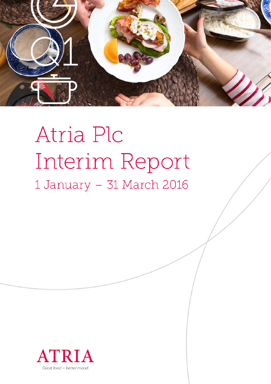

# Atria Plc Interim Report 1 January - 31 March 2016

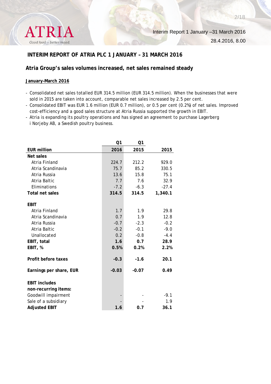

# **INTERIM REPORT OF ATRIA PLC 1 JANUARY – 31 MARCH 2016**

## **Atria Group's sales volumes increased, net sales remained steady**

#### **January–March 2016**

- Consolidated net sales totalled EUR 314.5 million (EUR 314.5 million). When the businesses that were sold in 2015 are taken into account, comparable net sales increased by 2.5 per cent.
- Consolidated EBIT was EUR 1.6 million (EUR 0.7 million), or 0.5 per cent (0.2%) of net sales. Improved cost-efficiency and a good sales structure at Atria Russia supported the growth in EBIT.
- Atria is expanding its poultry operations and has signed an agreement to purchase Lagerberg i Norjeby AB, a Swedish poultry business.

|                         | Q1      | Q1      |         |
|-------------------------|---------|---------|---------|
| <b>EUR million</b>      | 2016    | 2015    | 2015    |
| Net sales               |         |         |         |
| Atria Finland           | 224.7   | 212.2   | 929.0   |
| Atria Scandinavia       | 75.7    | 85.2    | 330.5   |
| Atria Russia            | 13.6    | 15.8    | 75.1    |
| Atria Baltic            | 7.7     | 7.6     | 32.9    |
| Eliminations            | $-7.2$  | $-6.3$  | $-27.4$ |
| <b>Total net sales</b>  | 314.5   | 314.5   | 1,340.1 |
|                         |         |         |         |
| <b>EBIT</b>             |         |         |         |
| Atria Finland           | 1.7     | 1.9     | 29.8    |
| Atria Scandinavia       | 0.7     | 1.9     | 12.8    |
| Atria Russia            | $-0.7$  | $-2.3$  | $-0.2$  |
| Atria Baltic            | $-0.2$  | $-0.1$  | $-9.0$  |
| Unallocated             | 0.2     | $-0.8$  | $-4.4$  |
| EBIT, total             | 1.6     | 0.7     | 28.9    |
| EBIT, %                 | 0.5%    | 0.2%    | 2.2%    |
|                         |         |         |         |
| Profit before taxes     | $-0.3$  | $-1.6$  | 20.1    |
| Earnings per share, EUR | $-0.03$ | $-0.07$ | 0.49    |
|                         |         |         |         |
| <b>EBIT includes</b>    |         |         |         |
| non-recurring items:    |         |         |         |
| Goodwill impairment     |         |         | $-9.1$  |
| Sale of a subsidiary    |         |         | 1.9     |
| <b>Adjusted EBIT</b>    | 1.6     | 0.7     | 36.1    |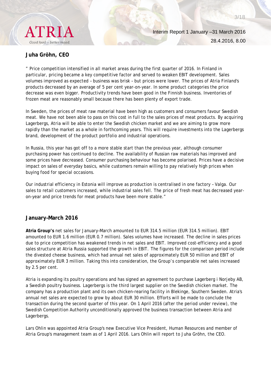

28.4.2016, 8.00

3/18

# **Juha Gröhn, CEO**

" Price competition intensified in all market areas during the first quarter of 2016. In Finland in particular, pricing became a key competitive factor and served to weaken EBIT development. Sales volumes improved as expected – business was brisk – but prices were lower. The prices of Atria Finland's products decreased by an average of 5 per cent year-on-year. In some product categories the price decrease was even bigger. Productivity trends have been good in the Finnish business. Inventories of frozen meat are reasonably small because there has been plenty of export trade.

In Sweden, the prices of meat raw material have been high as customers and consumers favour Swedish meat. We have not been able to pass on this cost in full to the sales prices of meat products. By acquiring Lagerbergs, Atria will be able to enter the Swedish chicken market and we are aiming to grow more rapidly than the market as a whole in forthcoming years. This will require investments into the Lagerbergs brand, development of the product portfolio and industrial operations.

In Russia, this year has got off to a more stable start than the previous year, although consumer purchasing power has continued to decline. The availability of Russian raw materials has improved and some prices have decreased. Consumer purchasing behaviour has become polarised. Prices have a decisive impact on sales of everyday basics, while customers remain willing to pay relatively high prices when buying food for special occasions.

Our industrial efficiency in Estonia will improve as production is centralised in one factory – Valga. Our sales to retail customers increased, while industrial sales fell. The price of fresh meat has decreased yearon-year and price trends for meat products have been more stable."

# **January–March 2016**

**Atria Group's** net sales for January–March amounted to EUR 314.5 million (EUR 314.5 million). EBIT amounted to EUR 1.6 million (EUR 0.7 million). Sales volumes have increased. The decline in sales prices due to price competition has weakened trends in net sales and EBIT. Improved cost-efficiency and a good sales structure at Atria Russia supported the growth in EBIT. The figures for the comparison period include the divested cheese business, which had annual net sales of approximately EUR 50 million and EBIT of approximately EUR 3 million. Taking this into consideration, the Group's comparable net sales increased by 2.5 per cent.

Atria is expanding its poultry operations and has signed an agreement to purchase Lagerberg i Norjeby AB, a Swedish poultry business. Lagerbergs is the third largest supplier on the Swedish chicken market. The company has a production plant and its own chicken-rearing facility in Blekinge, Southern Sweden. Atria's annual net sales are expected to grow by about EUR 30 million. Efforts will be made to conclude the transaction during the second quarter of this year. On 1 April 2016 (after the period under review), the Swedish Competition Authority unconditionally approved the business transaction between Atria and Lagerbergs.

Lars Ohlin was appointed Atria Group's new Executive Vice President, Human Resources and member of Atria Group's management team as of 1 April 2016. Lars Ohlin will report to Juha Gröhn, the CEO.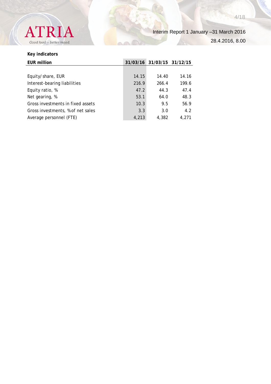

Interim Report 1 January –31 March 2016

28.4.2016, 8.00

# **Key indicators**

| <b>EUR million</b>                |       | 31/03/16 31/03/15 31/12/15 |       |
|-----------------------------------|-------|----------------------------|-------|
|                                   |       |                            |       |
| Equity/share, EUR                 | 14.15 | 14.40                      | 14.16 |
| Interest-bearing liabilities      | 216.9 | 266.4                      | 199.6 |
| Equity ratio, %                   | 47.2  | 44.3                       | 47.4  |
| Net gearing, %                    | 53.1  | 64.0                       | 48.3  |
| Gross investments in fixed assets | 10.3  | 9.5                        | 56.9  |
| Gross investments, % of net sales | 3.3   | 3.0                        | 4.2   |
| Average personnel (FTE)           | 4,213 | 4,382                      | 4.271 |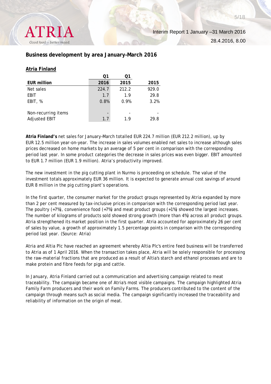

## **Business development by area January–March 2016**

### **Atria Finland**

|                      | Ο1    | Ο1    |       |
|----------------------|-------|-------|-------|
| <b>EUR million</b>   | 2016  | 2015  | 2015  |
| Net sales            | 224.7 | 212.2 | 929.0 |
| EBIT                 | 1.7   | 1.9   | 29.8  |
| EBIT, %              | 0.8%  | 0.9%  | 3.2%  |
|                      |       |       |       |
| Non-recurring items  |       |       |       |
| <b>Adjusted EBIT</b> | 1.7   | 1.9   | 29.8  |
|                      |       |       |       |

**Atria Finland's** net sales for January–March totalled EUR 224.7 million (EUR 212.2 million), up by EUR 12.5 million year-on-year. The increase in sales volumes enabled net sales to increase although sales prices decreased on home markets by an average of 5 per cent in comparison with the corresponding period last year. In some product categories the decrease in sales prices was even bigger. EBIT amounted to EUR 1.7 million (EUR 1.9 million). Atria's productivity improved.

The new investment in the pig cutting plant in Nurmo is proceeding on schedule. The value of the investment totals approximately EUR 36 million. It is expected to generate annual cost savings of around EUR 8 million in the pig cutting plant's operations.

In the first quarter, the consumer market for the product groups represented by Atria expanded by more than 2 per cent measured by tax-inclusive prices in comparison with the corresponding period last year. The poultry (+7%), convenience food (+7%) and meat product groups (+1%) showed the largest increases. The number of kilograms of products sold showed strong growth (more than 4%) across all product groups. Atria strengthened its market position in the first quarter. Atria accounted for approximately 26 per cent of sales by value, a growth of approximately 1.5 percentage points in comparison with the corresponding period last year. (Source: Atria)

Atria and Altia Plc have reached an agreement whereby Altia Plc's entire feed business will be transferred to Atria as of 1 April 2016. When the transaction takes place, Atria will be solely responsible for processing the raw-material fractions that are produced as a result of Altia's starch and ethanol processes and are to make protein and fibre feeds for pigs and cattle.

In January, Atria Finland carried out a communication and advertising campaign related to meat traceability. The campaign became one of Atria's most visible campaigns. The campaign highlighted Atria Family Farm producers and their work on Family Farms. The producers contributed to the content of the campaign through means such as social media. The campaign significantly increased the traceability and reliability of information on the origin of meat.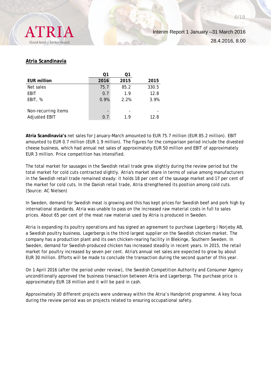

## **Atria Scandinavia**

|                      | Q1   | O1   |       |
|----------------------|------|------|-------|
| <b>EUR million</b>   | 2016 | 2015 | 2015  |
| Net sales            | 75.7 | 85.2 | 330.5 |
| <b>EBIT</b>          | 0.7  | 1.9  | 12.8  |
| EBIT, %              | 0.9% | 2.2% | 3.9%  |
|                      |      |      |       |
| Non-recurring items  |      |      |       |
| <b>Adjusted EBIT</b> | 0.7  | 1.9  | 12.8  |

**Atria Scandinavia's** net sales for January–March amounted to EUR 75.7 million (EUR 85.2 million). EBIT amounted to EUR 0.7 million (EUR 1.9 million). The figures for the comparison period include the divested cheese business, which had annual net sales of approximately EUR 50 million and EBIT of approximately EUR 3 million. Price competition has intensified.

The total market for sausages in the Swedish retail trade grew slightly during the review period but the total market for cold cuts contracted slightly. Atria's market share in terms of value among manufacturers in the Swedish retail trade remained steady: it holds 18 per cent of the sausage market and 17 per cent of the market for cold cuts. In the Danish retail trade, Atria strengthened its position among cold cuts. (Source: AC Nielsen)

In Sweden, demand for Swedish meat is growing and this has kept prices for Swedish beef and pork high by international standards. Atria was unable to pass on the increased raw material costs in full to sales prices. About 65 per cent of the meat raw material used by Atria is produced in Sweden.

Atria is expanding its poultry operations and has signed an agreement to purchase Lagerberg i Norjeby AB, a Swedish poultry business. Lagerbergs is the third largest supplier on the Swedish chicken market. The company has a production plant and its own chicken-rearing facility in Blekinge, Southern Sweden. In Sweden, demand for Swedish-produced chicken has increased steadily in recent years. In 2015, the retail market for poultry increased by seven per cent. Atria's annual net sales are expected to grow by about EUR 30 million. Efforts will be made to conclude the transaction during the second quarter of this year.

On 1 April 2016 (after the period under review), the Swedish Competition Authority and Consumer Agency unconditionally approved the business transaction between Atria and Lagerbergs. The purchase price is approximately EUR 18 million and it will be paid in cash.

Approximately 30 different projects were underway within the Atria's Handprint programme. A key focus during the review period was on projects related to ensuring occupational safety.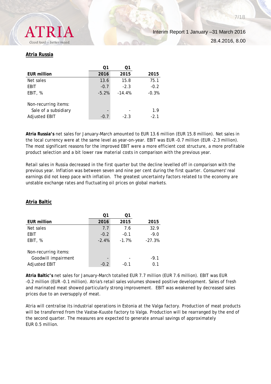

#### **Atria Russia**

|                                                                      | Ο1      |          |               |
|----------------------------------------------------------------------|---------|----------|---------------|
| <b>EUR million</b>                                                   | 2016    | 2015     | 2015          |
| Net sales                                                            | 13.6    | 15.8     | 75.1          |
| EBIT                                                                 | $-0.7$  | $-2.3$   | $-0.2$        |
| EBIT, %                                                              | $-5.2%$ | $-14.4%$ | $-0.3%$       |
| Non-recurring items:<br>Sale of a subsidiary<br><b>Adjusted EBIT</b> | $-0.7$  | $-2.3$   | 1.9<br>$-2.1$ |

**Atria Russia's** net sales for January–March amounted to EUR 13.6 million (EUR 15.8 million). Net sales in the local currency were at the same level as year-on-year. EBIT was EUR -0.7 million (EUR -2.3 million). The most significant reasons for the improved EBIT were a more efficient cost structure, a more profitable product selection and a bit lower raw material costs in comparison with the previous year.

Retail sales in Russia decreased in the first quarter but the decline levelled off in comparison with the previous year. Inflation was between seven and nine per cent during the first quarter. Consumers' real earnings did not keep pace with inflation. The greatest uncertainty factors related to the economy are unstable exchange rates and fluctuating oil prices on global markets.

|                      | ი1      | ი1      |          |
|----------------------|---------|---------|----------|
| <b>EUR million</b>   | 2016    | 2015    | 2015     |
| Net sales            | 7.7     | 7.6     | 32.9     |
| EBIT                 | $-0.2$  | $-0.1$  | $-9.0$   |
| EBIT, %              | $-2.4%$ | $-1.7%$ | $-27.3%$ |
|                      |         |         |          |
| Non-recurring items: |         |         |          |
| Goodwill impairment  |         |         | $-9.1$   |
| <b>Adjusted EBIT</b> | $-0.2$  | $-0.1$  | 01       |

## **Atria Baltic**

**Atria Baltic's** net sales for January–March totalled EUR 7.7 million (EUR 7.6 million). EBIT was EUR -0.2 million (EUR -0.1 million). Atria's retail sales volumes showed positive development. Sales of fresh and marinated meat showed particularly strong improvement. EBIT was weakened by decreased sales prices due to an oversupply of meat.

Atria will centralise its industrial operations in Estonia at the Valga factory. Production of meat products will be transferred from the Vastse-Kuuste factory to Valga. Production will be rearranged by the end of the second quarter. The measures are expected to generate annual savings of approximately EUR 0.5 million.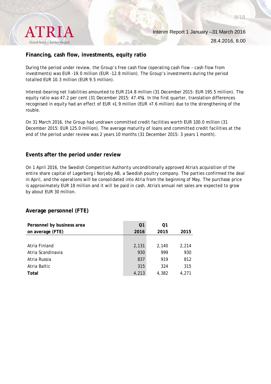

## **Financing, cash flow, investments, equity ratio**

During the period under review, the Group's free cash flow (operating cash flow - cash flow from investments) was EUR -19.0 million (EUR -12.8 million). The Group's investments during the period totalled EUR 10.3 million (EUR 9.5 million).

Interest-bearing net liabilities amounted to EUR 214.8 million (31 December 2015: EUR 195.5 million). The equity ratio was 47.2 per cent (31 December 2015: 47.4%). In the first quarter, translation differences recognised in equity had an effect of EUR +1.9 million (EUR +7.6 million) due to the strengthening of the rouble.

On 31 March 2016, the Group had undrawn committed credit facilities worth EUR 100.0 million (31 December 2015: EUR 125.0 million). The average maturity of loans and committed credit facilities at the end of the period under review was 2 years 10 months (31 December 2015: 3 years 1 month).

#### **Events after the period under review**

On 1 April 2016, the Swedish Competition Authority unconditionally approved Atria's acquisition of the entire share capital of Lagerberg i Norjeby AB, a Swedish poultry company. The parties confirmed the deal in April, and the operations will be consolidated into Atria from the beginning of May. The purchase price is approximately EUR 18 million and it will be paid in cash. Atria's annual net sales are expected to grow by about EUR 30 million.

## **Average personnel (FTE)**

| Personnel by business area | Q <sub>1</sub> | Q1    |       |
|----------------------------|----------------|-------|-------|
| on average (FTE)           | 2016           | 2015  | 2015  |
|                            |                |       |       |
| Atria Finland              | 2,131          | 2.140 | 2,214 |
| Atria Scandinavia          | 930            | 999   | 930   |
| Atria Russia               | 837            | 919   | 812   |
| Atria Baltic               | 315            | 324   | 315   |
| Total                      | 4,213          | 4,382 | 4.271 |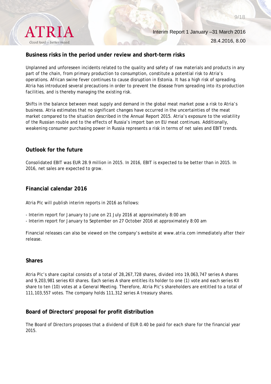

## **Business risks in the period under review and short-term risks**

Unplanned and unforeseen incidents related to the quality and safety of raw materials and products in any part of the chain, from primary production to consumption, constitute a potential risk to Atria's operations. African swine fever continues to cause disruption in Estonia. It has a high risk of spreading. Atria has introduced several precautions in order to prevent the disease from spreading into its production facilities, and is thereby managing the existing risk.

Shifts in the balance between meat supply and demand in the global meat market pose a risk to Atria's business. Atria estimates that no significant changes have occurred in the uncertainties of the meat market compared to the situation described in the Annual Report 2015. Atria's exposure to the volatility of the Russian rouble and to the effects of Russia's import ban on EU meat continues. Additionally, weakening consumer purchasing power in Russia represents a risk in terms of net sales and EBIT trends.

## **Outlook for the future**

Consolidated EBIT was EUR 28.9 million in 2015. In 2016, EBIT is expected to be better than in 2015. In 2016, net sales are expected to grow.

## **Financial calendar 2016**

Atria Plc will publish interim reports in 2016 as follows:

- Interim report for January to June on 21 July 2016 at approximately 8:00 am
- Interim report for January to September on 27 October 2016 at approximately 8:00 am

Financial releases can also be viewed on the company's website at www.atria.com immediately after their release.

#### **Shares**

Atria Plc's share capital consists of a total of 28,267,728 shares, divided into 19,063,747 series A shares and 9,203,981 series KII shares. Each series A share entitles its holder to one (1) vote and each series KII share to ten (10) votes at a General Meeting. Therefore, Atria Plc's shareholders are entitled to a total of 111,103,557 votes. The company holds 111,312 series A treasury shares.

# **Board of Directors' proposal for profit distribution**

The Board of Directors proposes that a dividend of EUR 0.40 be paid for each share for the financial year 2015.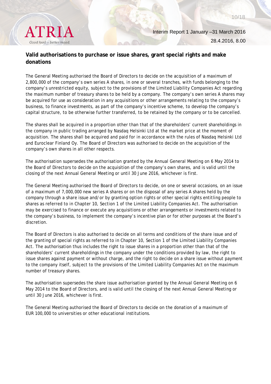

28.4.2016, 8.00

10/18

# **Valid authorisations to purchase or issue shares, grant special rights and make donations**

The General Meeting authorised the Board of Directors to decide on the acquisition of a maximum of 2,800,000 of the company's own series A shares, in one or several tranches, with funds belonging to the company's unrestricted equity, subject to the provisions of the Limited Liability Companies Act regarding the maximum number of treasury shares to be held by a company. The company's own series A shares may be acquired for use as consideration in any acquisitions or other arrangements relating to the company's business, to finance investments, as part of the company's incentive scheme, to develop the company's capital structure, to be otherwise further transferred, to be retained by the company or to be cancelled.

The shares shall be acquired in a proportion other than that of the shareholders' current shareholdings in the company in public trading arranged by Nasdaq Helsinki Ltd at the market price at the moment of acquisition. The shares shall be acquired and paid for in accordance with the rules of Nasdaq Helsinki Ltd and Euroclear Finland Oy. The Board of Directors was authorised to decide on the acquisition of the company's own shares in all other respects.

The authorisation supersedes the authorisation granted by the Annual General Meeting on 6 May 2014 to the Board of Directors to decide on the acquisition of the company's own shares, and is valid until the closing of the next Annual General Meeting or until 30 June 2016, whichever is first.

The General Meeting authorised the Board of Directors to decide, on one or several occasions, on an issue of a maximum of 7,000,000 new series A shares or on the disposal of any series A shares held by the company through a share issue and/or by granting option rights or other special rights entitling people to shares as referred to in Chapter 10, Section 1 of the Limited Liability Companies Act. The authorisation may be exercised to finance or execute any acquisitions or other arrangements or investments related to the company's business, to implement the company's incentive plan or for other purposes at the Board's discretion.

The Board of Directors is also authorised to decide on all terms and conditions of the share issue and of the granting of special rights as referred to in Chapter 10, Section 1 of the Limited Liability Companies Act. The authorisation thus includes the right to issue shares in a proportion other than that of the shareholders' current shareholdings in the company under the conditions provided by law, the right to issue shares against payment or without charge, and the right to decide on a share issue without payment to the company itself, subject to the provisions of the Limited Liability Companies Act on the maximum number of treasury shares.

The authorisation supersedes the share issue authorisation granted by the Annual General Meeting on 6 May 2014 to the Board of Directors, and is valid until the closing of the next Annual General Meeting or until 30 June 2016, whichever is first.

The General Meeting authorised the Board of Directors to decide on the donation of a maximum of EUR 100,000 to universities or other educational institutions.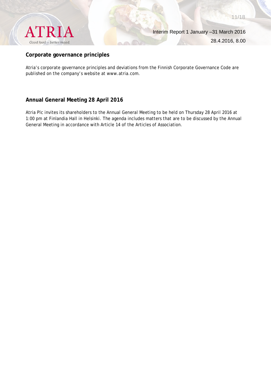

11/18

## **Corporate governance principles**

Atria's corporate governance principles and deviations from the Finnish Corporate Governance Code are published on the company's website at www.atria.com.

# **Annual General Meeting 28 April 2016**

Atria Plc invites its shareholders to the Annual General Meeting to be held on Thursday 28 April 2016 at 1:00 pm at Finlandia Hall in Helsinki. The agenda includes matters that are to be discussed by the Annual General Meeting in accordance with Article 14 of the Articles of Association.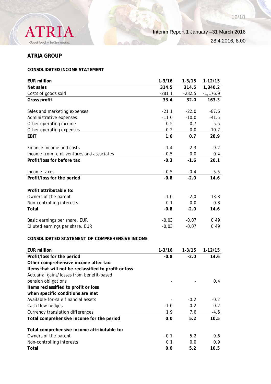

12/18

# **ATRIA GROUP**

# **CONSOLIDATED INCOME STATEMENT**

| <b>EUR million</b>                                    | $1 - 3/16$ | $1 - 3/15$ | $1 - 12/15$ |
|-------------------------------------------------------|------------|------------|-------------|
| Net sales                                             | 314.5      | 314.5      | 1,340.2     |
| Costs of goods sold                                   | $-281.1$   | $-282.5$   | $-1,176.9$  |
| Gross profit                                          | 33.4       | 32.0       | 163.3       |
|                                                       |            |            |             |
| Sales and marketing expenses                          | $-21.1$    | $-22.0$    | $-87.6$     |
| Administrative expenses                               | $-11.0$    | $-10.0$    | $-41.5$     |
| Other operating income                                | 0.5        | 0.7        | 5.5         |
| Other operating expenses                              | $-0.2$     | 0.0        | $-10.7$     |
| <b>EBIT</b>                                           | 1.6        | 0.7        | 28.9        |
| Finance income and costs                              | $-1.4$     | $-2.3$     | $-9.2$      |
| Income from joint ventures and associates             | $-0.5$     | 0.0        | 0.4         |
| Profit/loss for before tax                            | $-0.3$     | $-1.6$     | 20.1        |
|                                                       |            |            |             |
| Income taxes                                          | $-0.5$     | $-0.4$     | $-5.5$      |
| Profit/loss for the period                            | $-0.8$     | $-2.0$     | 14.6        |
| Profit attributable to:                               |            |            |             |
| Owners of the parent                                  | $-1.0$     | $-2.0$     | 13.8        |
| Non-controlling interests                             | 0.1        | 0.0        | 0.8         |
| Total                                                 | $-0.8$     | $-2.0$     | 14.6        |
|                                                       |            |            |             |
| Basic earnings per share, EUR                         | $-0.03$    | $-0.07$    | 0.49        |
| Diluted earnings per share, EUR                       | $-0.03$    | $-0.07$    | 0.49        |
|                                                       |            |            |             |
| CONSOLIDATED STATEMENT OF COMPREHENSIVE INCOME        |            |            |             |
| <b>EUR million</b>                                    | $1 - 3/16$ | $1 - 3/15$ | $1-12/15$   |
| Profit/loss for the period                            | $-0.8$     | $-2.0$     | 14.6        |
| Other comprehensive income after tax:                 |            |            |             |
| Items that will not be reclassified to profit or loss |            |            |             |
| Actuarial gains/losses from benefit-based             |            |            |             |
| pension obligations                                   |            |            | 0.4         |
| Items reclassified to profit or loss                  |            |            |             |
| when specific conditions are met                      |            |            |             |
| Available-for-sale financial assets                   |            | $-0.2$     | $-0.2$      |
| Cash flow hedges                                      | $-1.0$     | $-0.2$     | 0.2         |
| Currency translation differences                      | 1.9        | 7.6        | $-4.6$      |
| Total comprehensive income for the period             | 0.0        | 5.2        | 10.5        |
|                                                       |            |            |             |
| Total comprehensive income attributable to:           |            |            |             |
| Owners of the parent                                  | $-0.1$     | 5.2        | 9.6         |
| Non-controlling interests                             | 0.1        | 0.0        | 0.9         |
| Total                                                 | 0.0        | 5.2        | 10.5        |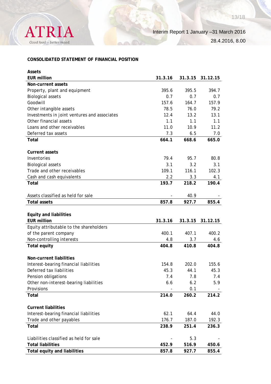

## **CONSOLIDATED STATEMENT OF FINANCIAL POSITION**

| <b>EUR million</b><br>31.3.16<br>31.3.15<br>31.12.15<br>Non-current assets<br>395.6<br>395.5<br>394.7<br>Property, plant and equipment<br>0.7<br><b>Biological assets</b><br>0.7<br>0.7<br>Goodwill<br>157.6<br>164.7<br>157.9<br>78.5<br>79.2<br>Other intangible assets<br>76.0<br>13.1<br>Investments in joint ventures and associates<br>12.4<br>13.2 |
|-----------------------------------------------------------------------------------------------------------------------------------------------------------------------------------------------------------------------------------------------------------------------------------------------------------------------------------------------------------|
|                                                                                                                                                                                                                                                                                                                                                           |
|                                                                                                                                                                                                                                                                                                                                                           |
|                                                                                                                                                                                                                                                                                                                                                           |
|                                                                                                                                                                                                                                                                                                                                                           |
|                                                                                                                                                                                                                                                                                                                                                           |
|                                                                                                                                                                                                                                                                                                                                                           |
|                                                                                                                                                                                                                                                                                                                                                           |
| Other financial assets<br>1.1<br>1.1<br>1.1                                                                                                                                                                                                                                                                                                               |
| 11.0<br>11.2<br>Loans and other receivables<br>10.9                                                                                                                                                                                                                                                                                                       |
| Deferred tax assets<br>7.3<br>6.5<br>7.0                                                                                                                                                                                                                                                                                                                  |
| 664.1<br>668.6<br>665.0<br>Total                                                                                                                                                                                                                                                                                                                          |
|                                                                                                                                                                                                                                                                                                                                                           |
| <b>Current assets</b>                                                                                                                                                                                                                                                                                                                                     |
| Inventories<br>79.4<br>95.7<br>80.8                                                                                                                                                                                                                                                                                                                       |
| 3.1<br>3.1<br><b>Biological assets</b><br>3.2                                                                                                                                                                                                                                                                                                             |
| Trade and other receivables<br>116.1<br>102.3<br>109.1                                                                                                                                                                                                                                                                                                    |
| Cash and cash equivalents<br>2.2<br>3.3<br>4.1                                                                                                                                                                                                                                                                                                            |
| 193.7<br>218.2<br>190.4<br>Total                                                                                                                                                                                                                                                                                                                          |
|                                                                                                                                                                                                                                                                                                                                                           |
| Assets classified as held for sale<br>40.9                                                                                                                                                                                                                                                                                                                |
| 855.4<br>857.8<br>927.7<br><b>Total assets</b>                                                                                                                                                                                                                                                                                                            |
|                                                                                                                                                                                                                                                                                                                                                           |
| <b>Equity and liabilities</b>                                                                                                                                                                                                                                                                                                                             |
| <b>EUR million</b><br>31.3.16<br>31.3.15<br>31.12.15                                                                                                                                                                                                                                                                                                      |
| Equity attributable to the shareholders                                                                                                                                                                                                                                                                                                                   |
| 400.1<br>407.1<br>400.2<br>of the parent company                                                                                                                                                                                                                                                                                                          |
| Non-controlling interests<br>3.7<br>4.8<br>4.6                                                                                                                                                                                                                                                                                                            |
| 404.8<br>410.8<br>404.8<br><b>Total equity</b>                                                                                                                                                                                                                                                                                                            |
|                                                                                                                                                                                                                                                                                                                                                           |
| Non-current liabilities                                                                                                                                                                                                                                                                                                                                   |
| Interest-bearing financial liabilities<br>202.0<br>155.6<br>154.8                                                                                                                                                                                                                                                                                         |
| Deferred tax liabilities<br>45.3<br>45.3<br>44.1                                                                                                                                                                                                                                                                                                          |
| Pension obligations<br>7.4<br>7.8<br>7.4                                                                                                                                                                                                                                                                                                                  |
| Other non-interest-bearing liabilities<br>6.2<br>6.6<br>5.9                                                                                                                                                                                                                                                                                               |
| Provisions<br>0.1                                                                                                                                                                                                                                                                                                                                         |
| 260.2<br>Total<br>214.0<br>214.2                                                                                                                                                                                                                                                                                                                          |
|                                                                                                                                                                                                                                                                                                                                                           |
| <b>Current liabilities</b>                                                                                                                                                                                                                                                                                                                                |
| Interest-bearing financial liabilities<br>62.1<br>64.4<br>44.0                                                                                                                                                                                                                                                                                            |
| Trade and other payables<br>176.7<br>187.0<br>192.3                                                                                                                                                                                                                                                                                                       |
| 251.4<br>Total<br>238.9<br>236.3                                                                                                                                                                                                                                                                                                                          |
|                                                                                                                                                                                                                                                                                                                                                           |
| Liabilities classified as held for sale<br>5.3                                                                                                                                                                                                                                                                                                            |
| <b>Total liabilities</b><br>452.9<br>516.9<br>450.6                                                                                                                                                                                                                                                                                                       |
| <b>Total equity and liabilities</b><br>855.4<br>857.8<br>927.7                                                                                                                                                                                                                                                                                            |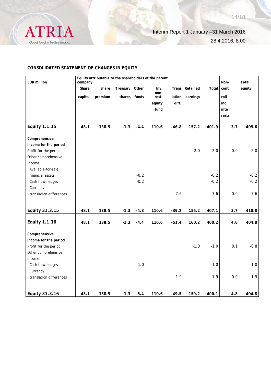

#### **CONSOLIDATED STATEMENT OF CHANGES IN EQUITY**

| Share   |         |                |                  |                                     |               |                       |        | Non-                                    | Total             |
|---------|---------|----------------|------------------|-------------------------------------|---------------|-----------------------|--------|-----------------------------------------|-------------------|
|         | Share   | Treasury Other |                  | Inv.                                |               | Trans Retained        | Total  | cont                                    | equity            |
| capital | premium |                |                  | rest.                               | lation        | earnings              |        | roll                                    |                   |
|         |         |                |                  | equity                              | diff.         |                       |        | ing                                     |                   |
|         |         |                |                  | fund                                |               |                       |        | inte                                    |                   |
|         |         |                |                  |                                     |               |                       |        | rests                                   |                   |
| 48.1    | 138.5   | $-1.3$         | $-4.4$           | 110.6                               | $-46.8$       | 157.2                 | 401.9  | 3.7                                     | 405.6             |
|         |         |                |                  |                                     |               |                       |        |                                         |                   |
|         |         |                |                  |                                     |               |                       |        |                                         |                   |
|         |         |                |                  |                                     |               | $-2.0$                | $-2.0$ | 0.0                                     | $-2.0$            |
|         |         |                |                  |                                     |               |                       |        |                                         |                   |
|         |         |                |                  |                                     |               |                       |        |                                         |                   |
|         |         |                |                  |                                     |               |                       |        |                                         |                   |
|         |         |                |                  |                                     |               |                       |        |                                         | $-0.2$            |
|         |         |                |                  |                                     |               |                       |        |                                         | $-0.2$            |
|         |         |                |                  |                                     |               |                       |        |                                         |                   |
|         |         |                |                  |                                     |               |                       |        |                                         | 7.6               |
| 48.1    | 138.5   | $-1.3$         | $-4.8$           | 110.6                               | $-39.2$       | 155.2                 | 407.1  | 3.7                                     | 410.8             |
| 48.1    | 138.5   | $-1.3$         | $-4.4$           | 110.6                               | $-51.4$       | 160.2                 | 400.2  | 4.6                                     | 404.8             |
|         |         |                |                  |                                     |               |                       |        |                                         |                   |
|         |         |                |                  |                                     |               |                       |        |                                         |                   |
|         |         |                |                  |                                     |               | $-1.0$                | $-1.0$ | 0.1                                     | $-0.8$            |
|         |         |                |                  |                                     |               |                       |        |                                         |                   |
|         |         |                |                  |                                     |               |                       |        |                                         |                   |
|         |         |                | $-1.0$           |                                     |               |                       | $-1.0$ |                                         | $-1.0$            |
|         |         |                |                  |                                     |               |                       |        |                                         |                   |
|         |         |                |                  |                                     |               |                       |        |                                         | 1.9               |
|         |         |                |                  |                                     |               |                       |        |                                         | 404.8             |
|         | 48.1    | 138.5          | shares<br>$-1.3$ | funds<br>$-0.2$<br>$-0.2$<br>$-5.4$ | non-<br>110.6 | 7.6<br>1.9<br>$-49.5$ | 159.2  | $-0.2$<br>$-0.2$<br>7.6<br>1.9<br>400.1 | 0.0<br>0.0<br>4.8 |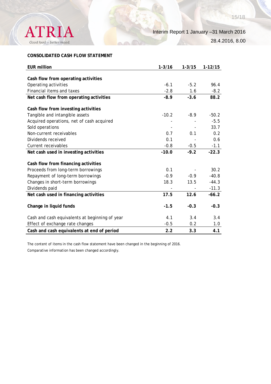

#### **CONSOLIDATED CASH FLOW STATEMENT**

| <b>EUR million</b>                             | $1 - 3/16$ | $1 - 3/15$ | $1-12/15$ |
|------------------------------------------------|------------|------------|-----------|
|                                                |            |            |           |
| Cash flow from operating activities            |            |            |           |
| Operating activities                           | $-6.1$     | $-5.2$     | 96.4      |
| Financial items and taxes                      | $-2.8$     | 1.6        | $-8.2$    |
| Net cash flow from operating activities        | $-8.9$     | $-3.6$     | 88.2      |
| Cash flow from investing activities            |            |            |           |
|                                                |            |            |           |
| Tangible and intangible assets                 | $-10.2$    | $-8.9$     | $-50.2$   |
| Acquired operations, net of cash acquired      |            |            | $-5.5$    |
| Sold operations                                |            |            | 33.7      |
| Non-current receivables                        | 0.7        | 0.1        | 0.2       |
| Dividends received                             | 0.1        |            | 0.6       |
| Current receivables                            | $-0.8$     | $-0.5$     | $-1.1$    |
| Net cash used in investing activities          | $-10.0$    | $-9.2$     | $-22.3$   |
| Cash flow from financing activities            |            |            |           |
| Proceeds from long-term borrowings             | 0.1        |            | 30.2      |
| Repayment of long-term borrowings              | $-0.9$     | $-0.9$     | $-40.8$   |
| Changes in short-term borrowings               | 18.3       | 13.5       | $-44.3$   |
| Dividends paid                                 |            |            | $-11.3$   |
| Net cash used in financing activities          | 17.5       | 12.6       | $-66.2$   |
|                                                |            |            |           |
| Change in liquid funds                         | $-1.5$     | $-0.3$     | $-0.3$    |
| Cash and cash equivalents at beginning of year | 4.1        | 3.4        | 3.4       |
| Effect of exchange rate changes                | $-0.5$     | 0.2        | 1.0       |
|                                                |            |            |           |
| Cash and cash equivalents at end of period     | 2.2        | 3.3        | 4.1       |

The content of items in the cash flow statement have been changed in the beginning of 2016. Comparative information has been changed accordingly.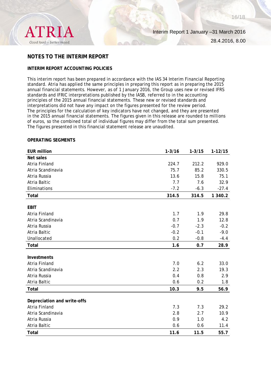

Interim Report 1 January –31 March 2016

28.4.2016, 8.00

## **NOTES TO THE INTERIM REPORT**

#### **INTERIM REPORT ACCOUNTING POLICIES**

This interim report has been prepared in accordance with the IAS 34 Interim Financial Reporting standard. Atria has applied the same principles in preparing this report as in preparing the 2015 annual financial statements. However, as of 1 January 2016, the Group uses new or revised IFRS standards and IFRIC interpretations published by the IASB, referred to in the accounting principles of the 2015 annual financial statements. These new or revised standards and interpretations did not have any impact on the figures presented for the review period. The principles for the calculation of key indicators have not changed, and they are presented in the 2015 annual financial statements. The figures given in this release are rounded to millions of euros, so the combined total of individual figures may differ from the total sum presented. The figures presented in this financial statement release are unaudited.

#### **OPERATING SEGMENTS**

| <b>EUR million</b>          | $1 - 3/16$ | $1 - 3/15$ | $1 - 12/15$ |
|-----------------------------|------------|------------|-------------|
| Net sales                   |            |            |             |
| Atria Finland               | 224.7      | 212.2      | 929.0       |
| Atria Scandinavia           | 75.7       | 85.2       | 330.5       |
| Atria Russia                | 13.6       | 15.8       | 75.1        |
| Atria Baltic                | 7.7        | 7.6        | 32.9        |
| Eliminations                | $-7.2$     | $-6.3$     | $-27.4$     |
| Total                       | 314.5      | 314.5      | 1 340.2     |
|                             |            |            |             |
| <b>EBIT</b>                 |            |            |             |
| Atria Finland               | 1.7        | 1.9        | 29.8        |
| Atria Scandinavia           | 0.7        | 1.9        | 12.8        |
| Atria Russia                | $-0.7$     | $-2.3$     | $-0.2$      |
| Atria Baltic                | $-0.2$     | $-0.1$     | $-9.0$      |
| Unallocated                 | 0.2        | $-0.8$     | $-4.4$      |
| Total                       | 1.6        | 0.7        | 28.9        |
|                             |            |            |             |
| <b>Investments</b>          |            |            |             |
| Atria Finland               | 7.0        | 6.2        | 33.0        |
| Atria Scandinavia           | 2.2        | 2.3        | 19.3        |
| Atria Russia                | 0.4        | 0.8        | 2.9         |
| Atria Baltic                | 0.6        | 0.2        | 1.8         |
| Total                       | 10.3       | 9.5        | 56.9        |
| Depreciation and write-offs |            |            |             |
| Atria Finland               | 7.3        | 7.3        | 29.2        |
| Atria Scandinavia           | 2.8        | 2.7        | 10.9        |
|                             |            |            |             |
| Atria Russia                | 0.9        | 1.0        | 4.2         |
| Atria Baltic                | 0.6        | 0.6        | 11.4        |
| Total                       | 11.6       | 11.5       | 55.7        |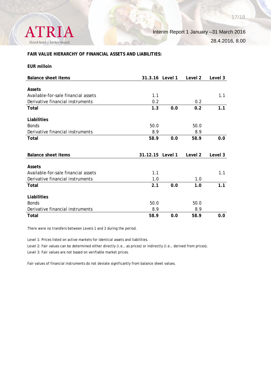Interim Report 1 January –31 March 2016 28.4.2016, 8.00

**FAIR VALUE HIERARCHY OF FINANCIAL ASSETS AND LIABILITIES:**

#### **EUR milloin**

**ATRIA** 

Good food - better mood.

| Balance sheet items                 | 31.3.16 Level 1 |         | Level 2 | Level 3 |
|-------------------------------------|-----------------|---------|---------|---------|
|                                     |                 |         |         |         |
| Assets                              |                 |         |         |         |
| Available-for-sale financial assets | 1.1             |         |         | 1.1     |
| Derivative financial instruments    | 0.2             |         | 0.2     |         |
| Total                               | 1.3             | 0.0     | 0.2     | 1.1     |
| Liabilities                         |                 |         |         |         |
| <b>Bonds</b>                        | 50.0            |         | 50.0    |         |
| Derivative financial instruments    | 8.9             |         | 8.9     |         |
| Total                               | 58.9            | 0.0     | 58.9    | 0.0     |
|                                     |                 |         |         |         |
|                                     |                 |         |         |         |
|                                     |                 |         |         |         |
| Balance sheet items                 | 31.12.15        | Level 1 | Level 2 | Level 3 |
| <b>Assets</b>                       |                 |         |         |         |
| Available-for-sale financial assets | 1.1             |         |         | 1.1     |
| Derivative financial instruments    | 1.0             |         | 1.0     |         |
| Total                               | 2.1             | 0.0     | 1.0     | 1.1     |
| Liabilities                         |                 |         |         |         |
| <b>Bonds</b>                        | 50.0            |         | 50.0    |         |
| Derivative financial instruments    | 8.9             |         | 8.9     |         |

There were no transfers between Levels 1 and 2 during the period.

Level 1: Prices listed on active markets for identical assets and liabilities.

Level 2: Fair values can be determined either directly (i.e., as prices) or indirectly (i.e., derived from prices).

Level 3: Fair values are not based on verifiable market prices.

Fair values of financial instruments do not deviate significantly from balance sheet values.